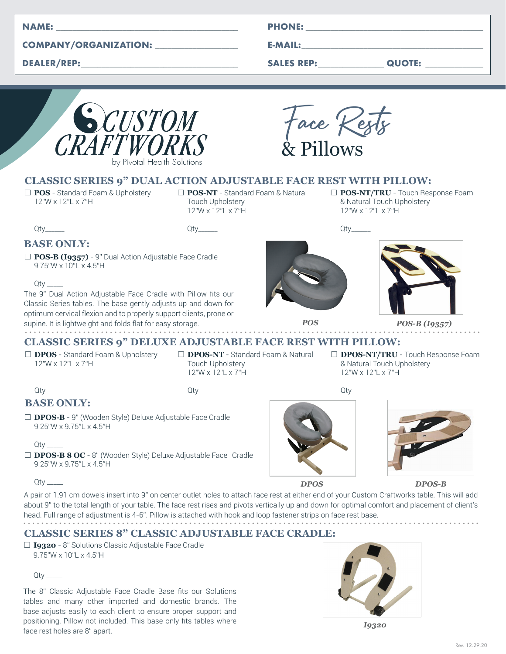| <b>NAME:</b> |  |
|--------------|--|
|              |  |

#### **COMPANY/ORGANIZATION: \_\_\_\_\_\_\_\_\_\_\_\_\_\_\_\_\_\_\_\_**

**DEALER/REP:\_\_\_\_\_\_\_\_\_\_\_\_\_\_\_\_\_\_\_\_\_\_\_\_\_\_\_\_\_\_\_\_\_\_\_\_\_\_**

|  | <b>PHONE:</b> |  |
|--|---------------|--|
|  |               |  |
|  |               |  |

**E-MAIL:\_\_\_\_\_\_\_\_\_\_\_\_\_\_\_\_\_\_\_\_\_\_\_\_\_\_\_\_\_\_\_\_\_\_\_\_\_\_\_\_\_\_\_\_**

**SALES REP:\_\_\_\_\_\_\_\_\_\_\_\_\_\_\_\_ QUOTE: \_\_\_\_\_\_\_\_\_\_\_\_\_\_**

□ **POS-NT/TRU** - Touch Response Foam

& Natural Touch Upholstery

12"W x 12"L x 7"H

Qty\_\_\_\_\_\_



Face Rests & Pillows

## **CLASSIC SERIES 9" DUAL ACTION ADJUSTABLE FACE REST WITH PILLOW:**

□ POS - Standard Foam & Upholstery 12"W x 12"L x 7"H

□ **POS-NT** - Standard Foam & Natural Touch Upholstery 12"W x 12"L x 7"H

Qty\_\_\_\_\_\_

# **BASE ONLY:**

Qty\_\_\_\_\_\_

□ POS-B (19357) - 9" Dual Action Adjustable Face Cradle 9.75"W x 10"L x 4.5"H

 $Q$ ty

Qty\_\_\_\_\_

 $Qty$   $\_\_$ 

Qty \_\_\_\_\_

**BASE ONLY:**

9.25"W x 9.75"L x 4.5"H

9.25"W x 9.75"L x 4.5"H

The 9" Dual Action Adjustable Face Cradle with Pillow fits our Classic Series tables. The base gently adjusts up and down for optimum cervical flexion and to properly support clients, prone or supine. It is lightweight and folds flat for easy storage.

□ **DPOS-B** - 9" (Wooden Style) Deluxe Adjustable Face Cradle

□ **DPOS-B 8 OC** - 8" (Wooden Style) Deluxe Adjustable Face Cradle



# **CLASSIC SERIES 9" DELUXE ADJUSTABLE FACE REST WITH PILLOW:**

Qty\_\_\_\_\_

- □ **DPOS** Standard Foam & Upholstery 12"W x 12"L x 7"H
- □ **DPOS-NT**  Standard Foam & Natural Touch Upholstery 12"W x 12"L x 7"H
- □ **DPOS-NT/TRU**  Touch Response Foam & Natural Touch Upholstery 12"W x 12"L x 7"H





**DPOS DPOS-B**

A pair of 1.91 cm dowels insert into 9" on center outlet holes to attach face rest at either end of your Custom Craftworks table. This will add about 9" to the total length of your table. The face rest rises and pivots vertically up and down for optimal comfort and placement of client's head. Full range of adjustment is 4-6". Pillow is attached with hook and loop fastener strips on face rest base.

# **CLASSIC SERIES 8" CLASSIC ADJUSTABLE FACE CRADLE:**

□ **I9320** - 8" Solutions Classic Adjustable Face Cradle 9.75"W x 10"L x 4.5"H

Qty \_\_\_\_\_

The 8" Classic Adjustable Face Cradle Base fits our Solutions tables and many other imported and domestic brands. The base adjusts easily to each client to ensure proper support and positioning. Pillow not included. This base only fits tables where positioning. Fillow not included. This base only hts tables where<br>face rest holes are 8" apart.